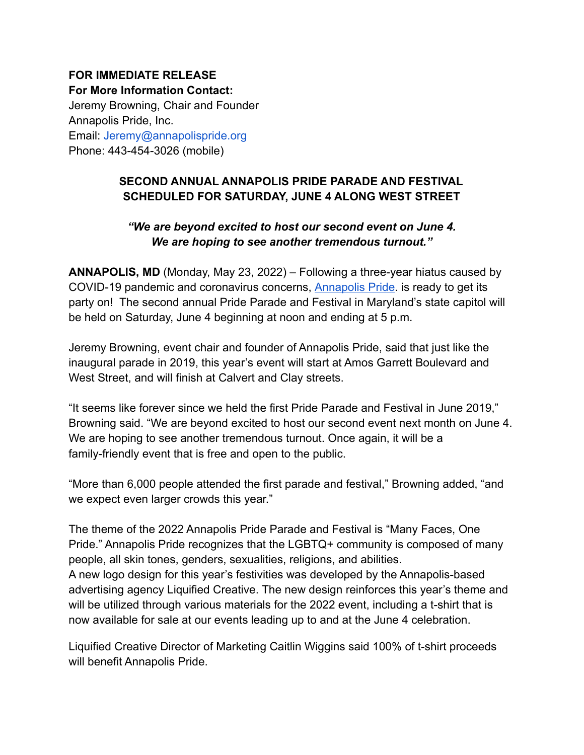## **FOR IMMEDIATE RELEASE For More Information Contact:** Jeremy Browning, Chair and Founder Annapolis Pride, Inc. Email: Jeremy@annapolispride.org Phone: 443-454-3026 (mobile)

## **SECOND ANNUAL ANNAPOLIS PRIDE PARADE AND FESTIVAL SCHEDULED FOR SATURDAY, JUNE 4 ALONG WEST STREET**

## *"We are beyond excited to host our second event on June 4. We are hoping to see another tremendous turnout."*

**ANNAPOLIS, MD** (Monday, May 23, 2022) – Following a three-year hiatus caused by COVID-19 pandemic and coronavirus concerns, [Annapolis](https://annapolispride.org/) Pride. is ready to get its party on! The second annual Pride Parade and Festival in Maryland's state capitol will be held on Saturday, June 4 beginning at noon and ending at 5 p.m.

Jeremy Browning, event chair and founder of Annapolis Pride, said that just like the inaugural parade in 2019, this year's event will start at Amos Garrett Boulevard and West Street, and will finish at Calvert and Clay streets.

"It seems like forever since we held the first Pride Parade and Festival in June 2019," Browning said. "We are beyond excited to host our second event next month on June 4. We are hoping to see another tremendous turnout. Once again, it will be a family-friendly event that is free and open to the public.

"More than 6,000 people attended the first parade and festival," Browning added, "and we expect even larger crowds this year."

The theme of the 2022 Annapolis Pride Parade and Festival is "Many Faces, One Pride." Annapolis Pride recognizes that the LGBTQ+ community is composed of many people, all skin tones, genders, sexualities, religions, and abilities. A new logo design for this year's festivities was developed by the Annapolis-based advertising agency Liquified Creative. The new design reinforces this year's theme and will be utilized through various materials for the 2022 event, including a t-shirt that is now available for sale at our events leading up to and at the June 4 celebration.

Liquified Creative Director of Marketing Caitlin Wiggins said 100% of t-shirt proceeds will benefit Annapolis Pride.